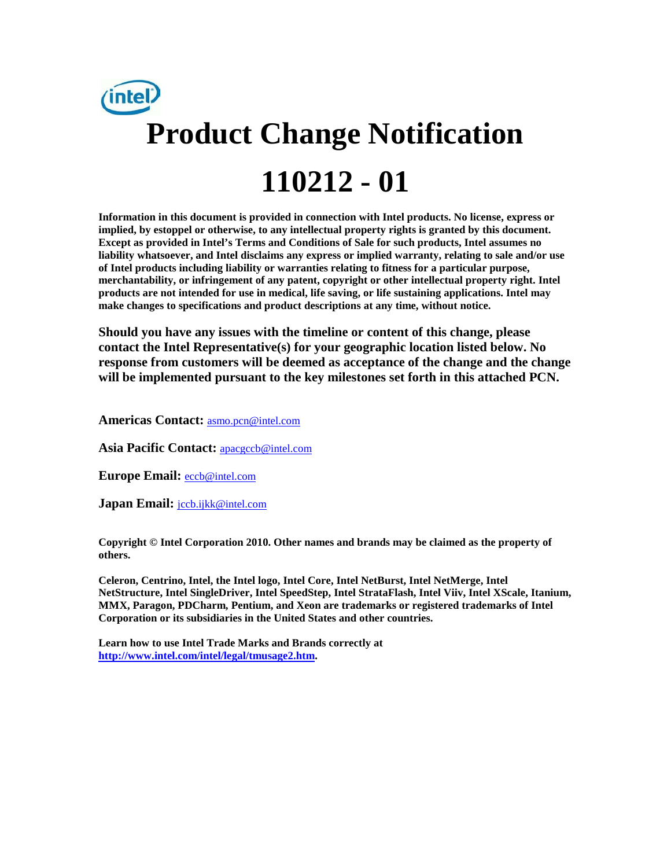

**Information in this document is provided in connection with Intel products. No license, express or implied, by estoppel or otherwise, to any intellectual property rights is granted by this document. Except as provided in Intel's Terms and Conditions of Sale for such products, Intel assumes no liability whatsoever, and Intel disclaims any express or implied warranty, relating to sale and/or use of Intel products including liability or warranties relating to fitness for a particular purpose, merchantability, or infringement of any patent, copyright or other intellectual property right. Intel products are not intended for use in medical, life saving, or life sustaining applications. Intel may make changes to specifications and product descriptions at any time, without notice.**

**Should you have any issues with the timeline or content of this change, please contact the Intel Representative(s) for your geographic location listed below. No response from customers will be deemed as acceptance of the change and the change will be implemented pursuant to the key milestones set forth in this attached PCN.** 

**Americas Contact:** [asmo.pcn@intel.com](mailto:asmo.pcn@intel.com) 

**Asia Pacific Contact:** [apacgccb@intel.com](mailto:apacgccb@intel.com) 

**Europe Email:** [eccb@intel.com](mailto:eccb@intel.com) 

Japan Email: **jccb.ijkk@intel.com** 

**Copyright © Intel Corporation 2010. Other names and brands may be claimed as the property of others.**

**Celeron, Centrino, Intel, the Intel logo, Intel Core, Intel NetBurst, Intel NetMerge, Intel NetStructure, Intel SingleDriver, Intel SpeedStep, Intel StrataFlash, Intel Viiv, Intel XScale, Itanium, MMX, Paragon, PDCharm, Pentium, and Xeon are trademarks or registered trademarks of Intel Corporation or its subsidiaries in the United States and other countries.**

**Learn how to use Intel Trade Marks and Brands correctly at [http://www.intel.com/intel/legal/tmusage2.htm.](http://www.intel.com/intel/legal/tmusage2.htm)**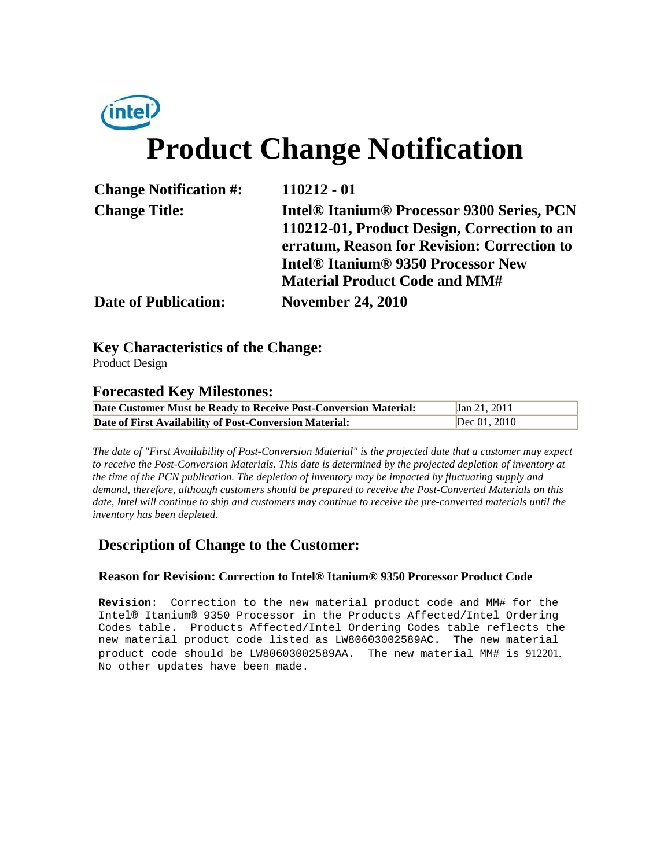# *(intel)* **Product Change Notification**

| <b>Change Notification #:</b> | $110212 - 01$                                                                                                                                          |  |
|-------------------------------|--------------------------------------------------------------------------------------------------------------------------------------------------------|--|
| <b>Change Title:</b>          | <b>Intel® Itanium® Processor 9300 Series, PCN</b><br>110212-01, Product Design, Correction to an                                                       |  |
|                               | erratum, Reason for Revision: Correction to<br><b>Intel<sup>®</sup> Itanium<sup>®</sup> 9350 Processor New</b><br><b>Material Product Code and MM#</b> |  |
| <b>Date of Publication:</b>   | <b>November 24, 2010</b>                                                                                                                               |  |

# **Key Characteristics of the Change:**

Product Design

## **Forecasted Key Milestones:**

| Date Customer Must be Ready to Receive Post-Conversion Material: | Jan 21, 2011   |
|------------------------------------------------------------------|----------------|
| Date of First Availability of Post-Conversion Material:          | Dec $01, 2010$ |

*The date of "First Availability of Post-Conversion Material" is the projected date that a customer may expect to receive the Post-Conversion Materials. This date is determined by the projected depletion of inventory at the time of the PCN publication. The depletion of inventory may be impacted by fluctuating supply and demand, therefore, although customers should be prepared to receive the Post-Converted Materials on this date, Intel will continue to ship and customers may continue to receive the pre-converted materials until the inventory has been depleted.*

## **Description of Change to the Customer:**

## **Reason for Revision: Correction to Intel® Itanium® 9350 Processor Product Code**

**Revision**: Correction to the new material product code and MM# for the Intel® Itanium® 9350 Processor in the Products Affected/Intel Ordering Codes table. Products Affected/Intel Ordering Codes table reflects the new material product code listed as LW80603002589A**C**. The new material product code should be LW80603002589AA. The new material MM# is 912201. No other updates have been made.